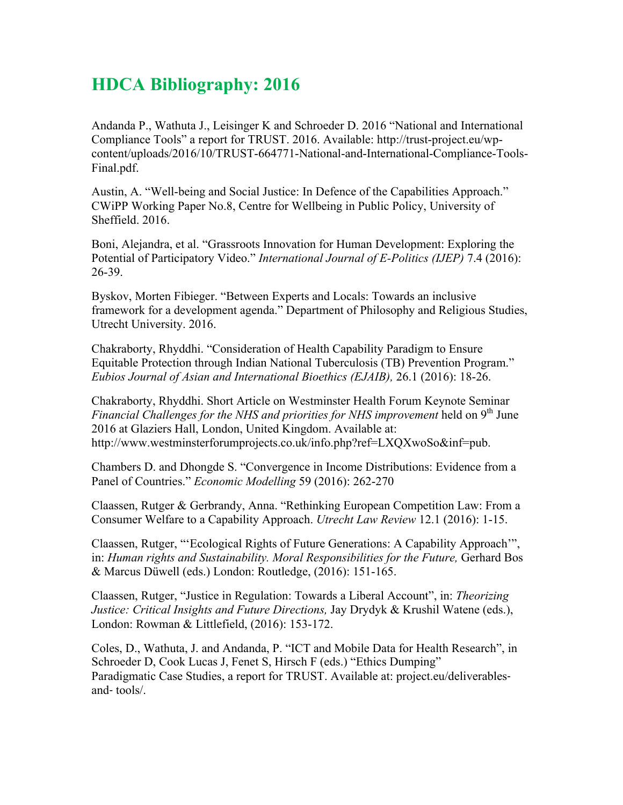## **HDCA Bibliography: 2016**

Andanda P., Wathuta J., Leisinger K and Schroeder D. 2016 "National and International Compliance Tools" a report for TRUST. 2016. Available: http://trust-project.eu/wpcontent/uploads/2016/10/TRUST-664771-National-and-International-Compliance-Tools-Final.pdf.

Austin, A. "Well-being and Social Justice: In Defence of the Capabilities Approach." CWiPP Working Paper No.8, Centre for Wellbeing in Public Policy, University of Sheffield. 2016.

Boni, Alejandra, et al. "Grassroots Innovation for Human Development: Exploring the Potential of Participatory Video." *International Journal of E-Politics (IJEP)* 7.4 (2016): 26-39.

Byskov, Morten Fibieger. "Between Experts and Locals: Towards an inclusive framework for a development agenda." Department of Philosophy and Religious Studies, Utrecht University. 2016.

Chakraborty, Rhyddhi. "Consideration of Health Capability Paradigm to Ensure Equitable Protection through Indian National Tuberculosis (TB) Prevention Program." *Eubios Journal of Asian and International Bioethics (EJAIB),* 26.1 (2016): 18-26.

Chakraborty, Rhyddhi. Short Article on Westminster Health Forum Keynote Seminar *Financial Challenges for the NHS and priorities for NHS improvement* held on 9<sup>th</sup> June 2016 at Glaziers Hall, London, United Kingdom. Available at: http://www.westminsterforumprojects.co.uk/info.php?ref=LXQXwoSo&inf=pub.

Chambers D. and Dhongde S. "Convergence in Income Distributions: Evidence from a Panel of Countries." *Economic Modelling* 59 (2016): 262-270

Claassen, Rutger & Gerbrandy, Anna. "Rethinking European Competition Law: From a Consumer Welfare to a Capability Approach. *Utrecht Law Review* 12.1 (2016): 1-15.

Claassen, Rutger, "'Ecological Rights of Future Generations: A Capability Approach'", in: *Human rights and Sustainability. Moral Responsibilities for the Future,* Gerhard Bos & Marcus Düwell (eds.) London: Routledge, (2016): 151-165.

Claassen, Rutger, "Justice in Regulation: Towards a Liberal Account", in: *Theorizing Justice: Critical Insights and Future Directions, Jay Drydyk & Krushil Watene (eds.),* London: Rowman & Littlefield, (2016): 153-172.

Coles, D., Wathuta, J. and Andanda, P. "ICT and Mobile Data for Health Research", in Schroeder D, Cook Lucas J, Fenet S, Hirsch F (eds.) "Ethics Dumping" Paradigmatic Case Studies, a report for TRUST. Available at: project.eu/deliverables‐ and‐ tools/.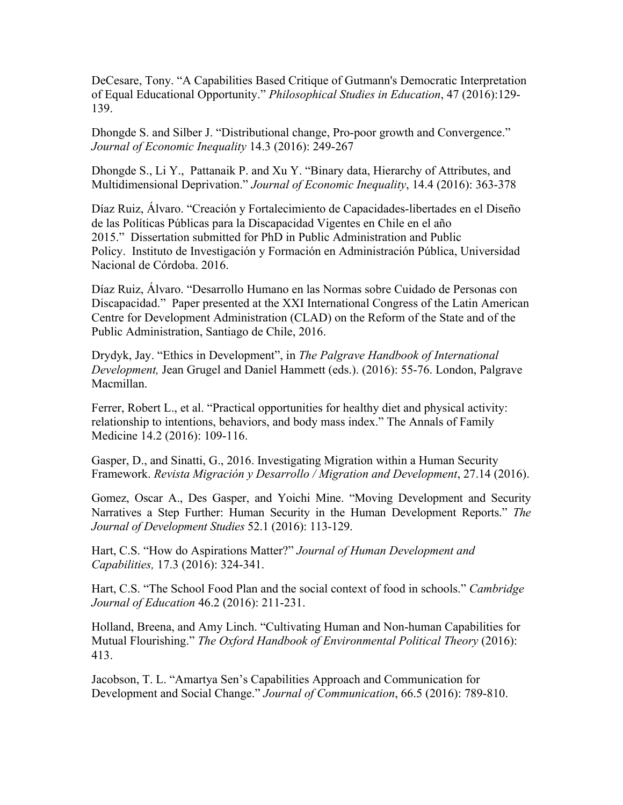DeCesare, Tony. "A Capabilities Based Critique of Gutmann's Democratic Interpretation of Equal Educational Opportunity." *Philosophical Studies in Education*, 47 (2016):129- 139.

Dhongde S. and Silber J. "Distributional change, Pro-poor growth and Convergence." *Journal of Economic Inequality* 14.3 (2016): 249-267

Dhongde S., Li Y., Pattanaik P. and Xu Y. "Binary data, Hierarchy of Attributes, and Multidimensional Deprivation." *Journal of Economic Inequality*, 14.4 (2016): 363-378

Díaz Ruiz, Álvaro. "Creación y Fortalecimiento de Capacidades-libertades en el Diseño de las Políticas Públicas para la Discapacidad Vigentes en Chile en el año 2015." Dissertation submitted for PhD in Public Administration and Public Policy. Instituto de Investigación y Formación en Administración Pública, Universidad Nacional de Córdoba. 2016.

Díaz Ruiz, Álvaro. "Desarrollo Humano en las Normas sobre Cuidado de Personas con Discapacidad." Paper presented at the XXI International Congress of the Latin American Centre for Development Administration (CLAD) on the Reform of the State and of the Public Administration, Santiago de Chile, 2016.

Drydyk, Jay. "Ethics in Development", in *The Palgrave Handbook of International Development,* Jean Grugel and Daniel Hammett (eds.). (2016): 55-76. London, Palgrave Macmillan.

Ferrer, Robert L., et al. "Practical opportunities for healthy diet and physical activity: relationship to intentions, behaviors, and body mass index." The Annals of Family Medicine 14.2 (2016): 109-116.

Gasper, D., and Sinatti, G., 2016. Investigating Migration within a Human Security Framework. *Revista Migración y Desarrollo / Migration and Development*, 27.14 (2016).

Gomez, Oscar A., Des Gasper, and Yoichi Mine. "Moving Development and Security Narratives a Step Further: Human Security in the Human Development Reports." *The Journal of Development Studies* 52.1 (2016): 113-129.

Hart, C.S. "How do Aspirations Matter?" *Journal of Human Development and Capabilities,* 17.3 (2016): 324-341.

Hart, C.S. "The School Food Plan and the social context of food in schools." *Cambridge Journal of Education* 46.2 (2016): 211-231.

Holland, Breena, and Amy Linch. "Cultivating Human and Non-human Capabilities for Mutual Flourishing." *The Oxford Handbook of Environmental Political Theory* (2016): 413.

Jacobson, T. L. "Amartya Sen's Capabilities Approach and Communication for Development and Social Change." *Journal of Communication*, 66.5 (2016): 789-810.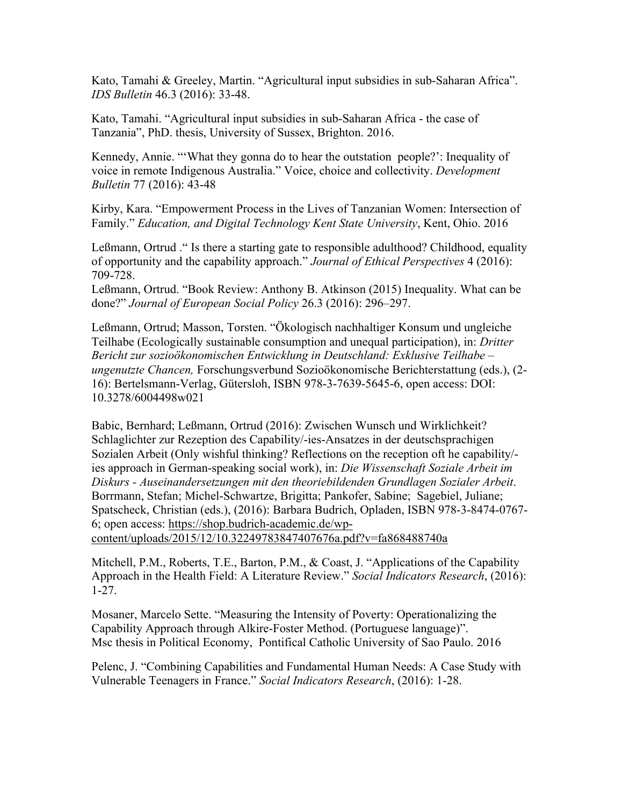Kato, Tamahi & Greeley, Martin. "Agricultural input subsidies in sub-Saharan Africa". *IDS Bulletin* 46.3 (2016): 33-48.

Kato, Tamahi. "Agricultural input subsidies in sub-Saharan Africa - the case of Tanzania", PhD. thesis, University of Sussex, Brighton. 2016.

Kennedy, Annie. "'What they gonna do to hear the outstation people?': Inequality of voice in remote Indigenous Australia." Voice, choice and collectivity. *Development Bulletin* 77 (2016): 43-48

Kirby, Kara. "Empowerment Process in the Lives of Tanzanian Women: Intersection of Family." *Education, and Digital Technology Kent State University*, Kent, Ohio. 2016

Leßmann, Ortrud ." Is there a starting gate to responsible adulthood? Childhood, equality of opportunity and the capability approach." *Journal of Ethical Perspectives* 4 (2016): 709-728.

Leßmann, Ortrud. "Book Review: Anthony B. Atkinson (2015) Inequality. What can be done?" *Journal of European Social Policy* 26.3 (2016): 296–297.

Leßmann, Ortrud; Masson, Torsten. "Ökologisch nachhaltiger Konsum und ungleiche Teilhabe (Ecologically sustainable consumption and unequal participation), in: *Dritter Bericht zur sozioökonomischen Entwicklung in Deutschland: Exklusive Teilhabe – ungenutzte Chancen,* Forschungsverbund Sozioökonomische Berichterstattung (eds.), (2- 16): Bertelsmann-Verlag, Gütersloh, ISBN 978-3-7639-5645-6, open access: DOI: 10.3278/6004498w021

Babic, Bernhard; Leßmann, Ortrud (2016): Zwischen Wunsch und Wirklichkeit? Schlaglichter zur Rezeption des Capability/-ies-Ansatzes in der deutschsprachigen Sozialen Arbeit (Only wishful thinking? Reflections on the reception oft he capability/ ies approach in German-speaking social work), in: *Die Wissenschaft Soziale Arbeit im Diskurs - Auseinandersetzungen mit den theoriebildenden Grundlagen Sozialer Arbeit*. Borrmann, Stefan; Michel-Schwartze, Brigitta; Pankofer, Sabine; Sagebiel, Juliane; Spatscheck, Christian (eds.), (2016): Barbara Budrich, Opladen, ISBN 978-3-8474-0767- 6; open access: https://shop.budrich-academic.de/wp-

content/uploads/2015/12/10.32249783847407676a.pdf?v=fa868488740a

Mitchell, P.M., Roberts, T.E., Barton, P.M., & Coast, J. "Applications of the Capability Approach in the Health Field: A Literature Review." *Social Indicators Research*, (2016): 1-27.

Mosaner, Marcelo Sette. "Measuring the Intensity of Poverty: Operationalizing the Capability Approach through Alkire-Foster Method. (Portuguese language)". Msc thesis in Political Economy, Pontifical Catholic University of Sao Paulo. 2016

Pelenc, J. "Combining Capabilities and Fundamental Human Needs: A Case Study with Vulnerable Teenagers in France." *Social Indicators Research*, (2016): 1-28.